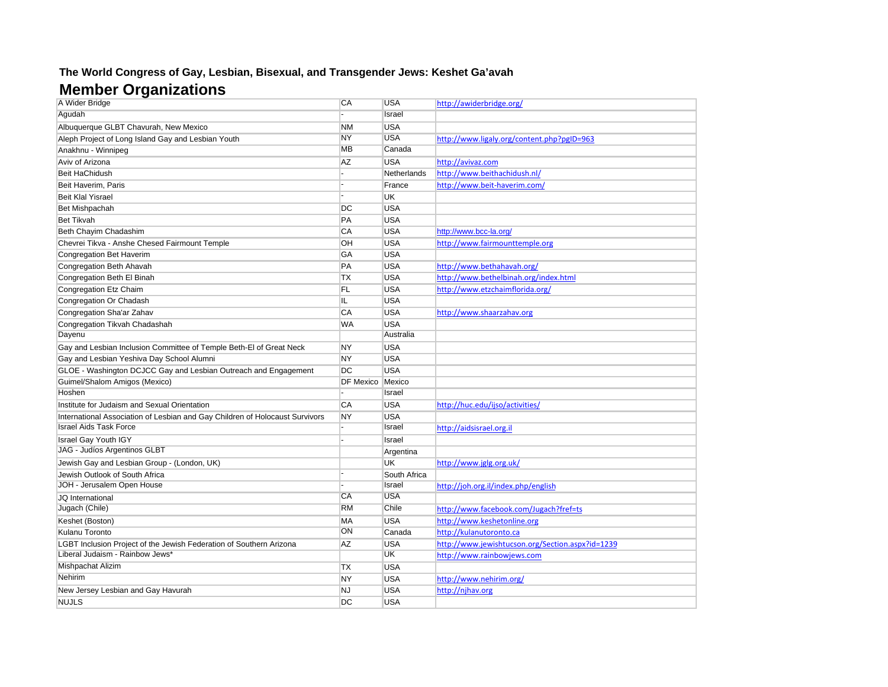## **The World Congress of Gay, Lesbian, Bisexual, and Transgender Jews: Keshet Ga'avah**

## **Member Organizations**

| A Wider Bridge                                                               | CA               | <b>USA</b>   | http://awiderbridge.org/                         |
|------------------------------------------------------------------------------|------------------|--------------|--------------------------------------------------|
| Agudah                                                                       |                  | Israel       |                                                  |
| Albuquerque GLBT Chavurah, New Mexico                                        | <b>NM</b>        | <b>USA</b>   |                                                  |
| Aleph Project of Long Island Gay and Lesbian Youth                           | <b>NY</b>        | <b>USA</b>   | http://www.ligaly.org/content.php?pgID=963       |
| Anakhnu - Winnipeg                                                           | <b>MB</b>        | Canada       |                                                  |
| Aviv of Arizona                                                              | <b>AZ</b>        | <b>USA</b>   | http://avivaz.com                                |
| Beit HaChidush                                                               |                  | Netherlands  | http://www.beithachidush.nl/                     |
| Beit Haverim, Paris                                                          |                  | France       | http://www.beit-haverim.com/                     |
| <b>Beit Klal Yisrael</b>                                                     |                  | <b>UK</b>    |                                                  |
| Bet Mishpachah                                                               | DC               | <b>USA</b>   |                                                  |
| <b>Bet Tikvah</b>                                                            | PA               | <b>USA</b>   |                                                  |
| Beth Chayim Chadashim                                                        | CA               | <b>USA</b>   | http://www.bcc-la.org/                           |
| Chevrei Tikva - Anshe Chesed Fairmount Temple                                | OH               | <b>USA</b>   | http://www.fairmounttemple.org                   |
| Congregation Bet Haverim                                                     | GA               | <b>USA</b>   |                                                  |
| Congregation Beth Ahavah                                                     | PA               | <b>USA</b>   | http://www.bethahavah.org/                       |
| Congregation Beth El Binah                                                   | TX               | <b>USA</b>   | http://www.bethelbinah.org/index.html            |
| Congregation Etz Chaim                                                       | FL               | <b>USA</b>   | http://www.etzchaimflorida.org/                  |
| Congregation Or Chadash                                                      | IL               | <b>USA</b>   |                                                  |
| Congregation Sha'ar Zahav                                                    | CA               | <b>USA</b>   | http://www.shaarzahav.org                        |
| Congregation Tikvah Chadashah                                                | WA               | <b>USA</b>   |                                                  |
| Dayenu                                                                       |                  | Australia    |                                                  |
| Gay and Lesbian Inclusion Committee of Temple Beth-El of Great Neck          | NY               | <b>USA</b>   |                                                  |
| Gay and Lesbian Yeshiva Day School Alumni                                    | NY               | <b>USA</b>   |                                                  |
| GLOE - Washington DCJCC Gay and Lesbian Outreach and Engagement              | DC               | <b>USA</b>   |                                                  |
| Guimel/Shalom Amigos (Mexico)                                                | <b>DF Mexico</b> | Mexico       |                                                  |
| Hoshen                                                                       |                  | Israel       |                                                  |
| Institute for Judaism and Sexual Orientation                                 | CA               | <b>USA</b>   | http://huc.edu/ijso/activities/                  |
| International Association of Lesbian and Gay Children of Holocaust Survivors | <b>NY</b>        | <b>USA</b>   |                                                  |
| <b>Israel Aids Task Force</b>                                                |                  | Israel       | http://aidsisrael.org.il                         |
| Israel Gay Youth IGY                                                         |                  | Israel       |                                                  |
| JAG - Judíos Argentinos GLBT                                                 |                  | Argentina    |                                                  |
| Jewish Gay and Lesbian Group - (London, UK)                                  |                  | <b>UK</b>    | http://www.jglg.org.uk/                          |
| Jewish Outlook of South Africa                                               |                  | South Africa |                                                  |
| JOH - Jerusalem Open House                                                   |                  | Israel       | http://joh.org.il/index.php/english              |
| JQ International                                                             | CA               | <b>USA</b>   |                                                  |
| Jugach (Chile)                                                               | <b>RM</b>        | Chile        | http://www.facebook.com/Jugach?fref=ts           |
| Keshet (Boston)                                                              | MA               | <b>USA</b>   | http://www.keshetonline.org                      |
| Kulanu Toronto                                                               | ON               | Canada       | http://kulanutoronto.ca                          |
| LGBT Inclusion Project of the Jewish Federation of Southern Arizona          | AZ               | <b>USA</b>   | http://www.jewishtucson.org/Section.aspx?id=1239 |
| Liberal Judaism - Rainbow Jews*                                              |                  | <b>UK</b>    | http://www.rainbowjews.com                       |
| Mishpachat Alizim                                                            | ТX               | <b>USA</b>   |                                                  |
| Nehirim                                                                      | NY               | <b>USA</b>   | http://www.nehirim.org/                          |
| New Jersey Lesbian and Gay Havurah                                           | <b>NJ</b>        | <b>USA</b>   | http://nihav.org                                 |
| <b>NUJLS</b>                                                                 | DC               | <b>USA</b>   |                                                  |